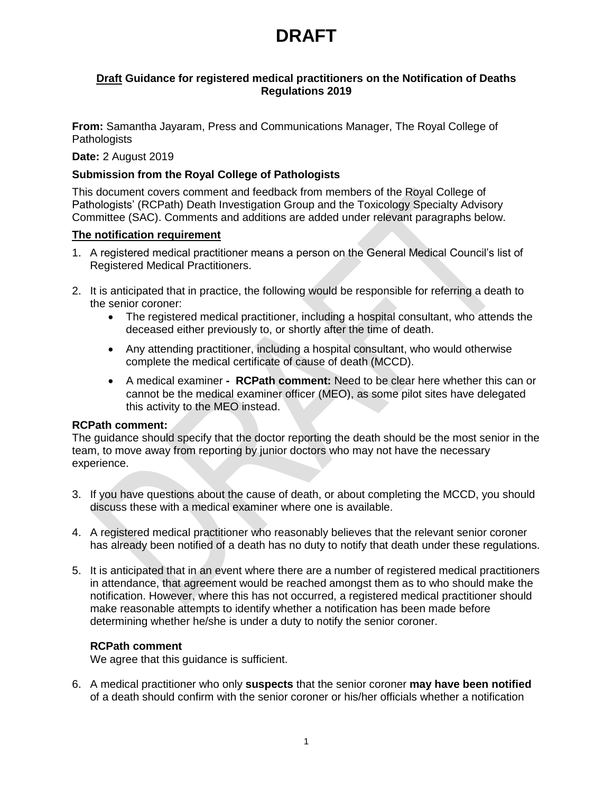### **Draft Guidance for registered medical practitioners on the Notification of Deaths Regulations 2019**

**From:** Samantha Jayaram, Press and Communications Manager, The Royal College of **Pathologists** 

### **Date:** 2 August 2019

## **Submission from the Royal College of Pathologists**

This document covers comment and feedback from members of the Royal College of Pathologists' (RCPath) Death Investigation Group and the Toxicology Specialty Advisory Committee (SAC). Comments and additions are added under relevant paragraphs below.

### **The notification requirement**

- 1. A registered medical practitioner means a person on the General Medical Council's list of Registered Medical Practitioners.
- 2. It is anticipated that in practice, the following would be responsible for referring a death to the senior coroner:
	- The registered medical practitioner, including a hospital consultant, who attends the deceased either previously to, or shortly after the time of death.
	- Any attending practitioner, including a hospital consultant, who would otherwise complete the medical certificate of cause of death (MCCD).
	- A medical examiner **- RCPath comment:** Need to be clear here whether this can or cannot be the medical examiner officer (MEO), as some pilot sites have delegated this activity to the MEO instead.

### **RCPath comment:**

The guidance should specify that the doctor reporting the death should be the most senior in the team, to move away from reporting by junior doctors who may not have the necessary experience.

- 3. If you have questions about the cause of death, or about completing the MCCD, you should discuss these with a medical examiner where one is available.
- 4. A registered medical practitioner who reasonably believes that the relevant senior coroner has already been notified of a death has no duty to notify that death under these regulations.
- 5. It is anticipated that in an event where there are a number of registered medical practitioners in attendance, that agreement would be reached amongst them as to who should make the notification. However, where this has not occurred, a registered medical practitioner should make reasonable attempts to identify whether a notification has been made before determining whether he/she is under a duty to notify the senior coroner.

### **RCPath comment**

We agree that this guidance is sufficient.

6. A medical practitioner who only **suspects** that the senior coroner **may have been notified** of a death should confirm with the senior coroner or his/her officials whether a notification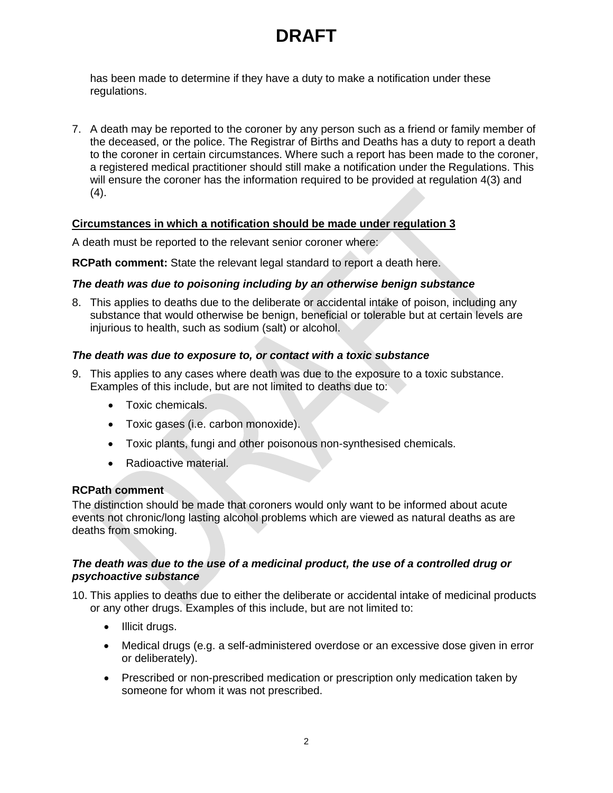has been made to determine if they have a duty to make a notification under these regulations.

7. A death may be reported to the coroner by any person such as a friend or family member of the deceased, or the police. The Registrar of Births and Deaths has a duty to report a death to the coroner in certain circumstances. Where such a report has been made to the coroner, a registered medical practitioner should still make a notification under the Regulations. This will ensure the coroner has the information required to be provided at regulation 4(3) and (4).

## **Circumstances in which a notification should be made under regulation 3**

A death must be reported to the relevant senior coroner where:

**RCPath comment:** State the relevant legal standard to report a death here.

# *The death was due to poisoning including by an otherwise benign substance*

8. This applies to deaths due to the deliberate or accidental intake of poison, including any substance that would otherwise be benign, beneficial or tolerable but at certain levels are injurious to health, such as sodium (salt) or alcohol.

## *The death was due to exposure to, or contact with a toxic substance*

- 9. This applies to any cases where death was due to the exposure to a toxic substance. Examples of this include, but are not limited to deaths due to:
	- **COXIC chemicals.**
	- Toxic gases (i.e. carbon monoxide).
	- Toxic plants, fungi and other poisonous non-synthesised chemicals.
	- Radioactive material.

## **RCPath comment**

The distinction should be made that coroners would only want to be informed about acute events not chronic/long lasting alcohol problems which are viewed as natural deaths as are deaths from smoking.

### *The death was due to the use of a medicinal product, the use of a controlled drug or psychoactive substance*

10. This applies to deaths due to either the deliberate or accidental intake of medicinal products or any other drugs. Examples of this include, but are not limited to:

- Illicit drugs.
- Medical drugs (e.g. a self-administered overdose or an excessive dose given in error or deliberately).
- Prescribed or non-prescribed medication or prescription only medication taken by someone for whom it was not prescribed.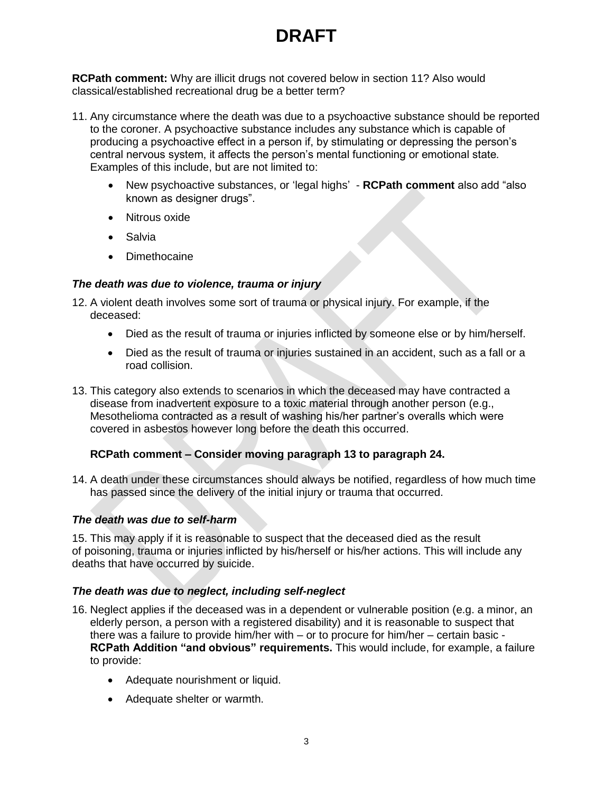**RCPath comment:** Why are illicit drugs not covered below in section 11? Also would classical/established recreational drug be a better term?

- 11. Any circumstance where the death was due to a psychoactive substance should be reported to the coroner. A psychoactive substance includes any substance which is capable of producing a psychoactive effect in a person if, by stimulating or depressing the person's central nervous system, it affects the person's mental functioning or emotional state*.* Examples of this include, but are not limited to:
	- New psychoactive substances, or 'legal highs' **RCPath comment** also add "also known as designer drugs".
	- Nitrous oxide
	- Salvia
	- Dimethocaine

## *The death was due to violence, trauma or injury*

- 12. A violent death involves some sort of trauma or physical injury. For example, if the deceased:
	- Died as the result of trauma or injuries inflicted by someone else or by him/herself.
	- Died as the result of trauma or injuries sustained in an accident, such as a fall or a road collision.
- 13. This category also extends to scenarios in which the deceased may have contracted a disease from inadvertent exposure to a toxic material through another person (e.g., Mesothelioma contracted as a result of washing his/her partner's overalls which were covered in asbestos however long before the death this occurred.

# **RCPath comment – Consider moving paragraph 13 to paragraph 24.**

14. A death under these circumstances should always be notified, regardless of how much time has passed since the delivery of the initial injury or trauma that occurred.

### *The death was due to self-harm*

15. This may apply if it is reasonable to suspect that the deceased died as the result of poisoning, trauma or injuries inflicted by his/herself or his/her actions. This will include any deaths that have occurred by suicide.

### *The death was due to neglect, including self-neglect*

- 16. Neglect applies if the deceased was in a dependent or vulnerable position (e.g. a minor, an elderly person, a person with a registered disability) and it is reasonable to suspect that there was a failure to provide him/her with – or to procure for him/her – certain basic - **RCPath Addition "and obvious" requirements.** This would include, for example, a failure to provide:
	- Adequate nourishment or liquid.
	- Adequate shelter or warmth.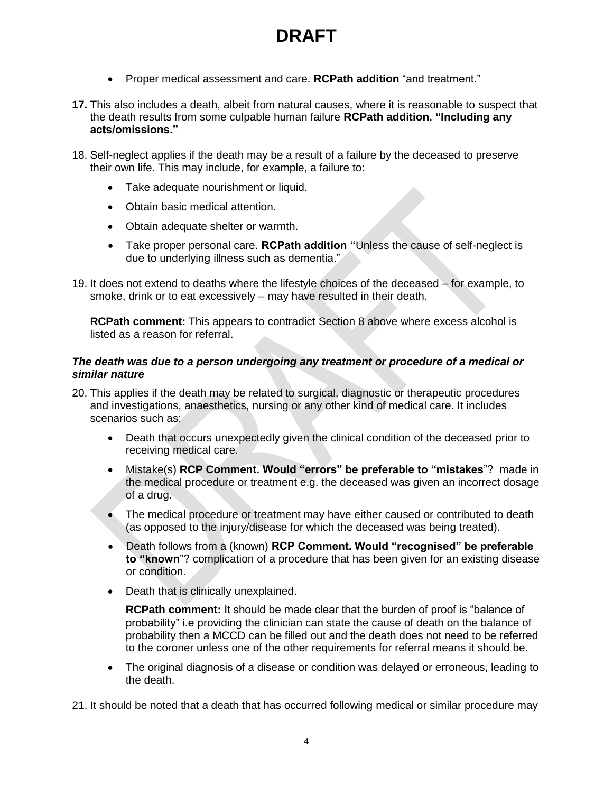- Proper medical assessment and care. **RCPath addition** "and treatment."
- **17.** This also includes a death, albeit from natural causes, where it is reasonable to suspect that the death results from some culpable human failure **RCPath addition. "Including any acts/omissions."**
- 18. Self-neglect applies if the death may be a result of a failure by the deceased to preserve their own life. This may include, for example, a failure to:
	- Take adequate nourishment or liquid.
	- Obtain basic medical attention.
	- Obtain adequate shelter or warmth.
	- Take proper personal care. **RCPath addition "**Unless the cause of self-neglect is due to underlying illness such as dementia."
- 19. It does not extend to deaths where the lifestyle choices of the deceased for example, to smoke, drink or to eat excessively – may have resulted in their death.

**RCPath comment:** This appears to contradict Section 8 above where excess alcohol is listed as a reason for referral.

### *The death was due to a person undergoing any treatment or procedure of a medical or similar nature*

- 20. This applies if the death may be related to surgical, diagnostic or therapeutic procedures and investigations, anaesthetics, nursing or any other kind of medical care. It includes scenarios such as:
	- Death that occurs unexpectedly given the clinical condition of the deceased prior to receiving medical care.
	- Mistake(s) **RCP Comment. Would "errors" be preferable to "mistakes**"? made in the medical procedure or treatment e.g. the deceased was given an incorrect dosage of a drug.
	- The medical procedure or treatment may have either caused or contributed to death (as opposed to the injury/disease for which the deceased was being treated).
	- Death follows from a (known) **RCP Comment. Would "recognised" be preferable to "known**"? complication of a procedure that has been given for an existing disease or condition.
	- Death that is clinically unexplained.

**RCPath comment:** It should be made clear that the burden of proof is "balance of probability" i.e providing the clinician can state the cause of death on the balance of probability then a MCCD can be filled out and the death does not need to be referred to the coroner unless one of the other requirements for referral means it should be.

 The original diagnosis of a disease or condition was delayed or erroneous, leading to the death.

21. It should be noted that a death that has occurred following medical or similar procedure may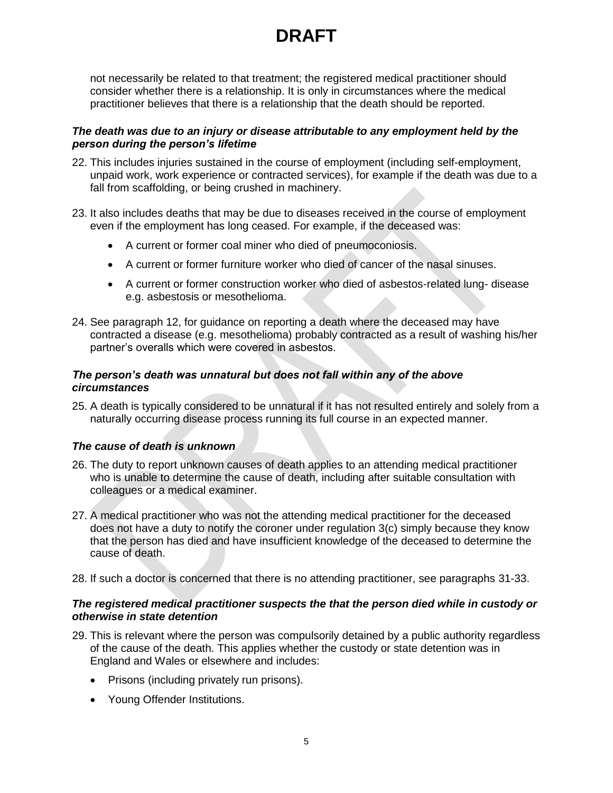not necessarily be related to that treatment; the registered medical practitioner should consider whether there is a relationship. It is only in circumstances where the medical practitioner believes that there is a relationship that the death should be reported.

### *The death was due to an injury or disease attributable to any employment held by the person during the person's lifetime*

- 22. This includes injuries sustained in the course of employment (including self-employment, unpaid work, work experience or contracted services), for example if the death was due to a fall from scaffolding, or being crushed in machinery.
- 23. It also includes deaths that may be due to diseases received in the course of employment even if the employment has long ceased. For example, if the deceased was:
	- A current or former coal miner who died of pneumoconiosis.
	- A current or former furniture worker who died of cancer of the nasal sinuses.
	- A current or former construction worker who died of asbestos-related lung- disease e.g. asbestosis or mesothelioma.
- 24. See paragraph 12, for guidance on reporting a death where the deceased may have contracted a disease (e.g. mesothelioma) probably contracted as a result of washing his/her partner's overalls which were covered in asbestos.

### *The person's death was unnatural but does not fall within any of the above circumstances*

25. A death is typically considered to be unnatural if it has not resulted entirely and solely from a naturally occurring disease process running its full course in an expected manner.

### *The cause of death is unknown*

- 26. The duty to report unknown causes of death applies to an attending medical practitioner who is unable to determine the cause of death, including after suitable consultation with colleagues or a medical examiner.
- 27. A medical practitioner who was not the attending medical practitioner for the deceased does not have a duty to notify the coroner under regulation 3(c) simply because they know that the person has died and have insufficient knowledge of the deceased to determine the cause of death.
- 28. If such a doctor is concerned that there is no attending practitioner, see paragraphs 31-33.

### *The registered medical practitioner suspects the that the person died while in custody or otherwise in state detention*

- 29. This is relevant where the person was compulsorily detained by a public authority regardless of the cause of the death. This applies whether the custody or state detention was in England and Wales or elsewhere and includes:
	- Prisons (including privately run prisons).
	- Young Offender Institutions.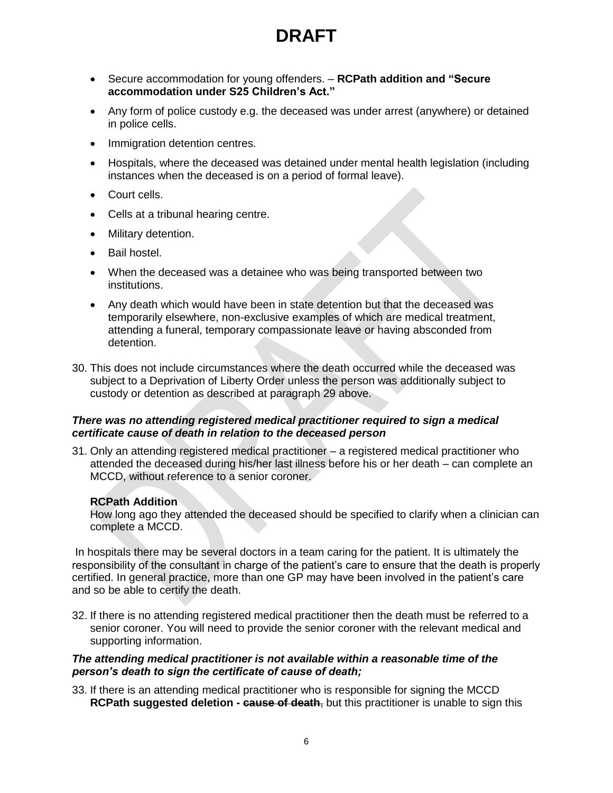- Secure accommodation for young offenders. **RCPath addition and "Secure accommodation under S25 Children's Act."**
- Any form of police custody e.g. the deceased was under arrest (anywhere) or detained in police cells.
- Immigration detention centres.
- Hospitals, where the deceased was detained under mental health legislation (including instances when the deceased is on a period of formal leave).
- Court cells.
- Cells at a tribunal hearing centre.
- Military detention.
- Bail hostel.
- When the deceased was a detainee who was being transported between two institutions.
- Any death which would have been in state detention but that the deceased was temporarily elsewhere, non-exclusive examples of which are medical treatment, attending a funeral, temporary compassionate leave or having absconded from detention.
- 30. This does not include circumstances where the death occurred while the deceased was subject to a Deprivation of Liberty Order unless the person was additionally subject to custody or detention as described at paragraph 29 above.

### *There was no attending registered medical practitioner required to sign a medical certificate cause of death in relation to the deceased person*

31. Only an attending registered medical practitioner – a registered medical practitioner who attended the deceased during his/her last illness before his or her death – can complete an MCCD, without reference to a senior coroner.

# **RCPath Addition**

How long ago they attended the deceased should be specified to clarify when a clinician can complete a MCCD.

In hospitals there may be several doctors in a team caring for the patient. It is ultimately the responsibility of the consultant in charge of the patient's care to ensure that the death is properly certified. In general practice, more than one GP may have been involved in the patient's care and so be able to certify the death.

32. If there is no attending registered medical practitioner then the death must be referred to a senior coroner. You will need to provide the senior coroner with the relevant medical and supporting information.

### *The attending medical practitioner is not available within a reasonable time of the person's death to sign the certificate of cause of death;*

33. If there is an attending medical practitioner who is responsible for signing the MCCD **RCPath suggested deletion - cause of death**, but this practitioner is unable to sign this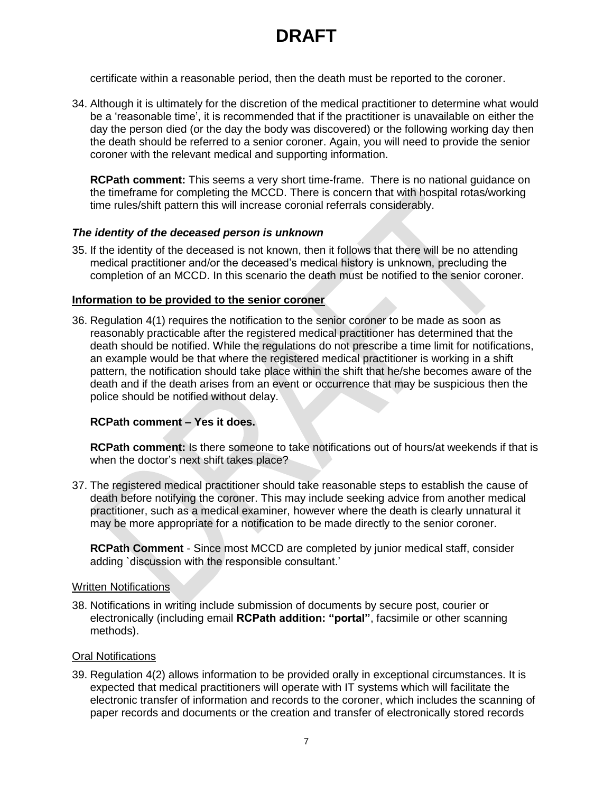certificate within a reasonable period, then the death must be reported to the coroner.

34. Although it is ultimately for the discretion of the medical practitioner to determine what would be a 'reasonable time', it is recommended that if the practitioner is unavailable on either the day the person died (or the day the body was discovered) or the following working day then the death should be referred to a senior coroner. Again, you will need to provide the senior coroner with the relevant medical and supporting information.

**RCPath comment:** This seems a very short time-frame. There is no national guidance on the timeframe for completing the MCCD. There is concern that with hospital rotas/working time rules/shift pattern this will increase coronial referrals considerably.

### *The identity of the deceased person is unknown*

35. If the identity of the deceased is not known, then it follows that there will be no attending medical practitioner and/or the deceased's medical history is unknown, precluding the completion of an MCCD. In this scenario the death must be notified to the senior coroner.

### **Information to be provided to the senior coroner**

36. Regulation 4(1) requires the notification to the senior coroner to be made as soon as reasonably practicable after the registered medical practitioner has determined that the death should be notified. While the regulations do not prescribe a time limit for notifications, an example would be that where the registered medical practitioner is working in a shift pattern, the notification should take place within the shift that he/she becomes aware of the death and if the death arises from an event or occurrence that may be suspicious then the police should be notified without delay.

### **RCPath comment – Yes it does.**

**RCPath comment:** Is there someone to take notifications out of hours/at weekends if that is when the doctor's next shift takes place?

37. The registered medical practitioner should take reasonable steps to establish the cause of death before notifying the coroner. This may include seeking advice from another medical practitioner, such as a medical examiner, however where the death is clearly unnatural it may be more appropriate for a notification to be made directly to the senior coroner.

**RCPath Comment** - Since most MCCD are completed by junior medical staff, consider adding `discussion with the responsible consultant.'

#### Written Notifications

38. Notifications in writing include submission of documents by secure post, courier or electronically (including email **RCPath addition: "portal"**, facsimile or other scanning methods).

#### Oral Notifications

39. Regulation 4(2) allows information to be provided orally in exceptional circumstances. It is expected that medical practitioners will operate with IT systems which will facilitate the electronic transfer of information and records to the coroner, which includes the scanning of paper records and documents or the creation and transfer of electronically stored records